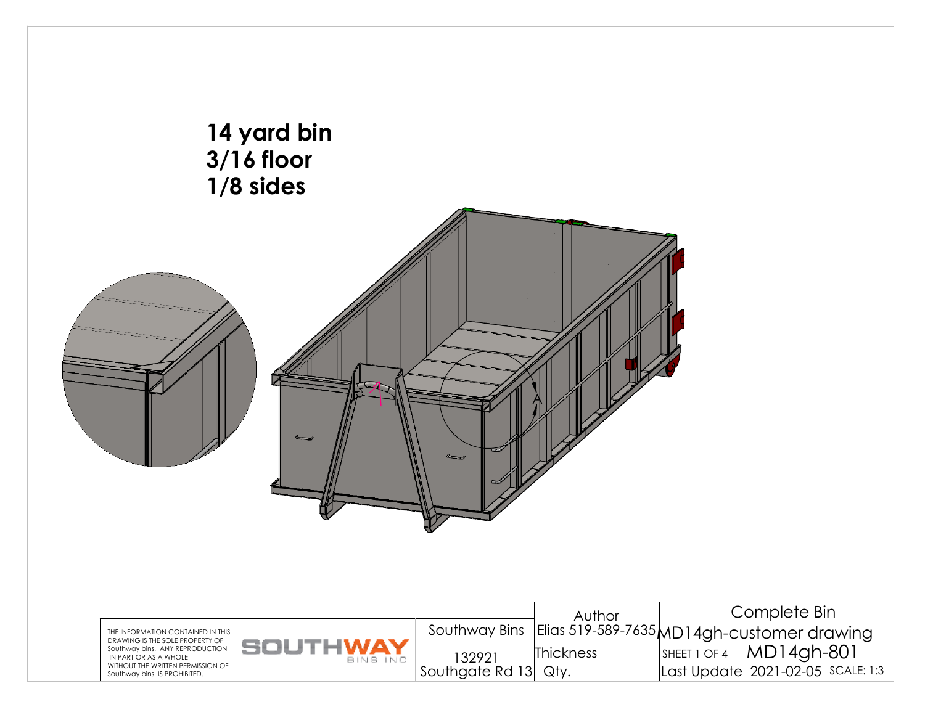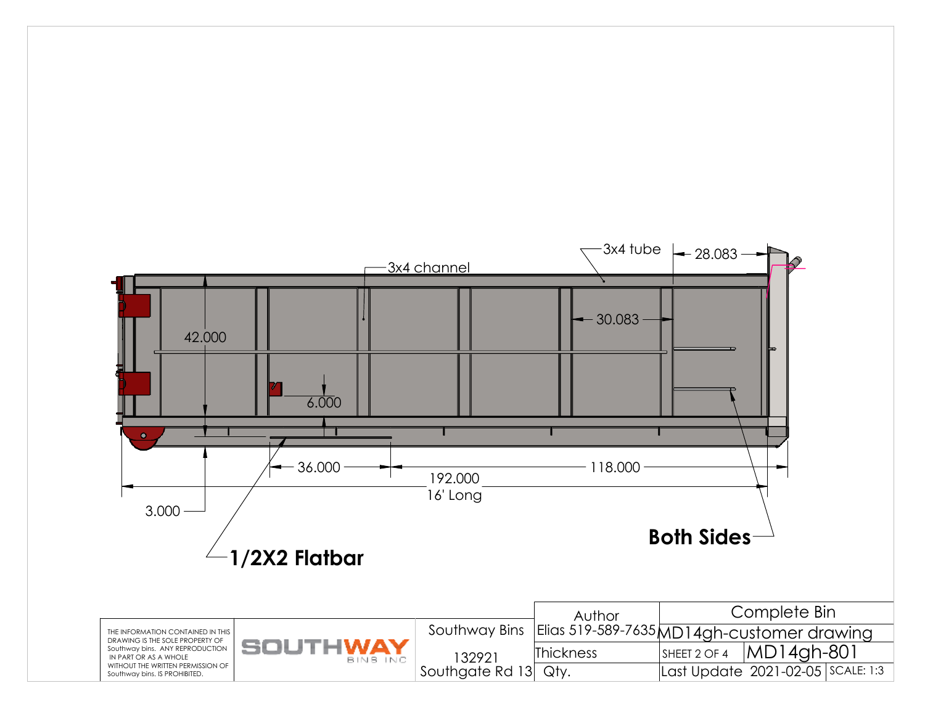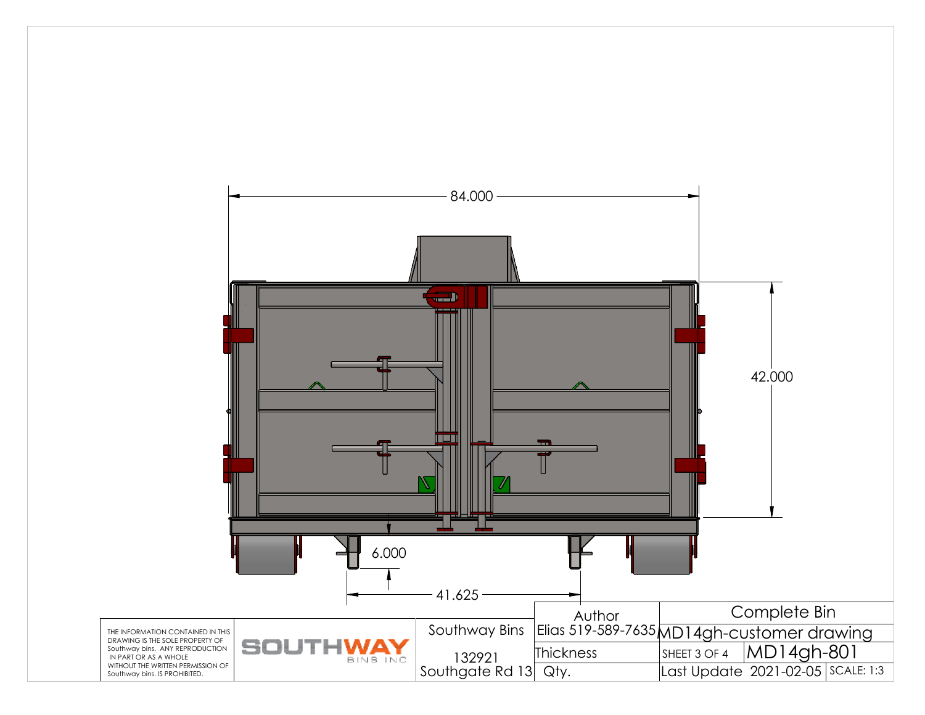